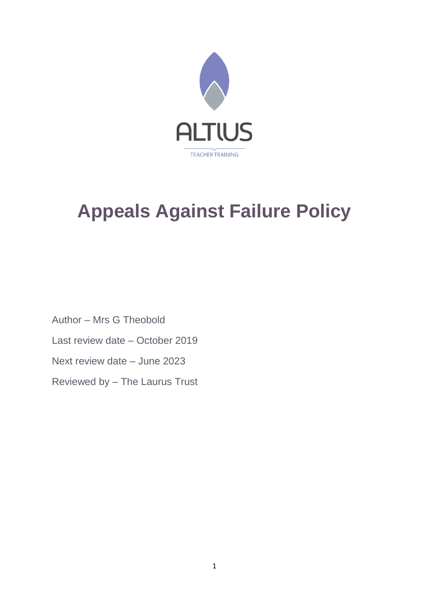

# **Appeals Against Failure Policy**

Author – Mrs G Theobold Last review date – October 2019 Next review date – June 2023 Reviewed by – The Laurus Trust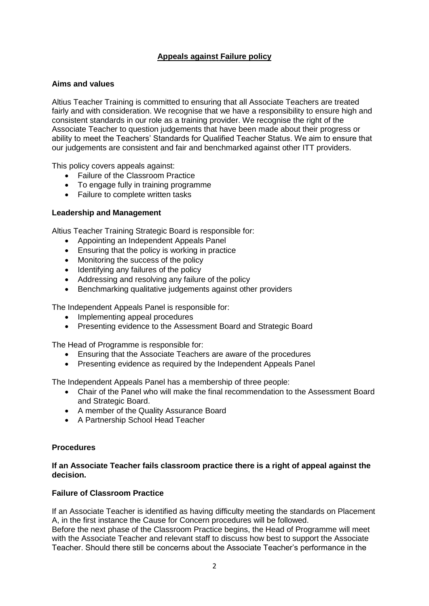# **Appeals against Failure policy**

# **Aims and values**

Altius Teacher Training is committed to ensuring that all Associate Teachers are treated fairly and with consideration. We recognise that we have a responsibility to ensure high and consistent standards in our role as a training provider. We recognise the right of the Associate Teacher to question judgements that have been made about their progress or ability to meet the Teachers' Standards for Qualified Teacher Status. We aim to ensure that our judgements are consistent and fair and benchmarked against other ITT providers.

This policy covers appeals against:

- Failure of the Classroom Practice
- To engage fully in training programme
- Failure to complete written tasks

## **Leadership and Management**

Altius Teacher Training Strategic Board is responsible for:

- Appointing an Independent Appeals Panel
- Ensuring that the policy is working in practice
- Monitoring the success of the policy
- Identifying any failures of the policy
- Addressing and resolving any failure of the policy
- Benchmarking qualitative judgements against other providers

The Independent Appeals Panel is responsible for:

- Implementing appeal procedures
- Presenting evidence to the Assessment Board and Strategic Board

The Head of Programme is responsible for:

- Ensuring that the Associate Teachers are aware of the procedures
- Presenting evidence as required by the Independent Appeals Panel

The Independent Appeals Panel has a membership of three people:

- Chair of the Panel who will make the final recommendation to the Assessment Board and Strategic Board.
- A member of the Quality Assurance Board
- A Partnership School Head Teacher

#### **Procedures**

## **If an Associate Teacher fails classroom practice there is a right of appeal against the decision.**

# **Failure of Classroom Practice**

If an Associate Teacher is identified as having difficulty meeting the standards on Placement A, in the first instance the Cause for Concern procedures will be followed.

Before the next phase of the Classroom Practice begins, the Head of Programme will meet with the Associate Teacher and relevant staff to discuss how best to support the Associate Teacher. Should there still be concerns about the Associate Teacher's performance in the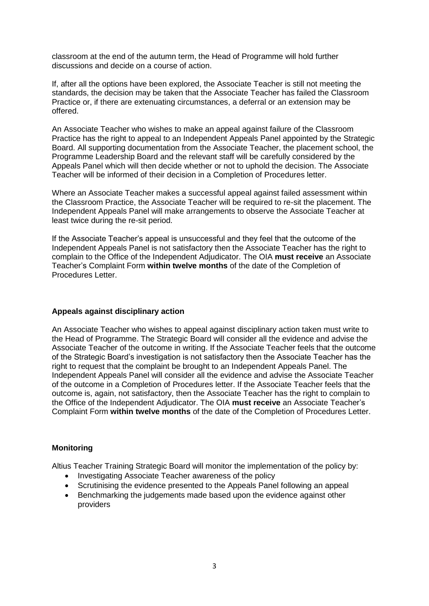classroom at the end of the autumn term, the Head of Programme will hold further discussions and decide on a course of action.

If, after all the options have been explored, the Associate Teacher is still not meeting the standards, the decision may be taken that the Associate Teacher has failed the Classroom Practice or, if there are extenuating circumstances, a deferral or an extension may be offered.

An Associate Teacher who wishes to make an appeal against failure of the Classroom Practice has the right to appeal to an Independent Appeals Panel appointed by the Strategic Board. All supporting documentation from the Associate Teacher, the placement school, the Programme Leadership Board and the relevant staff will be carefully considered by the Appeals Panel which will then decide whether or not to uphold the decision. The Associate Teacher will be informed of their decision in a Completion of Procedures letter.

Where an Associate Teacher makes a successful appeal against failed assessment within the Classroom Practice, the Associate Teacher will be required to re-sit the placement. The Independent Appeals Panel will make arrangements to observe the Associate Teacher at least twice during the re-sit period.

If the Associate Teacher's appeal is unsuccessful and they feel that the outcome of the Independent Appeals Panel is not satisfactory then the Associate Teacher has the right to complain to the Office of the Independent Adjudicator. The OIA **must receive** an Associate Teacher's Complaint Form **within twelve months** of the date of the Completion of Procedures Letter.

# **Appeals against disciplinary action**

An Associate Teacher who wishes to appeal against disciplinary action taken must write to the Head of Programme. The Strategic Board will consider all the evidence and advise the Associate Teacher of the outcome in writing. If the Associate Teacher feels that the outcome of the Strategic Board's investigation is not satisfactory then the Associate Teacher has the right to request that the complaint be brought to an Independent Appeals Panel. The Independent Appeals Panel will consider all the evidence and advise the Associate Teacher of the outcome in a Completion of Procedures letter. If the Associate Teacher feels that the outcome is, again, not satisfactory, then the Associate Teacher has the right to complain to the Office of the Independent Adjudicator. The OIA **must receive** an Associate Teacher's Complaint Form **within twelve months** of the date of the Completion of Procedures Letter.

#### **Monitoring**

Altius Teacher Training Strategic Board will monitor the implementation of the policy by:

- Investigating Associate Teacher awareness of the policy
- Scrutinising the evidence presented to the Appeals Panel following an appeal
- Benchmarking the judgements made based upon the evidence against other providers